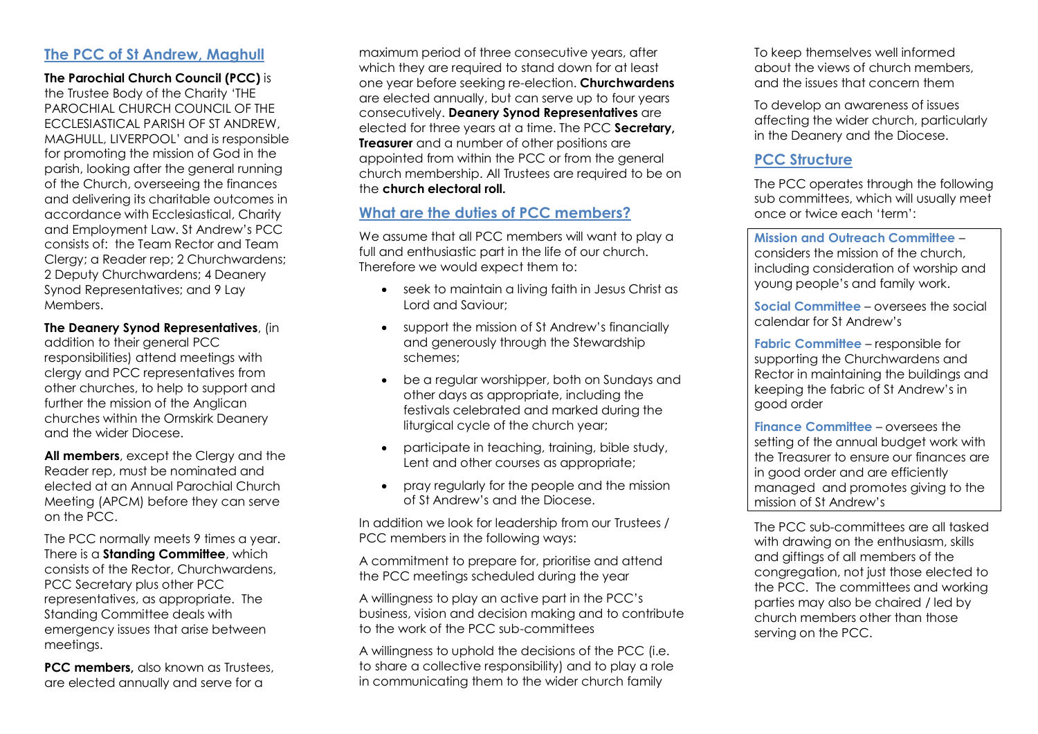#### **The PCC of St Andrew, Maghull**

**The [Parochial Church Council](http://en.wikipedia.org/wiki/Parochial_Church_Council) (PCC)** is the Trustee Body of the Charity 'THE PAROCHIAL CHURCH COUNCIL OF THE ECCLESIASTICAL PARISH OF ST ANDREW, MAGHULL, LIVERPOOL' and is responsible for promoting the mission of God in the parish, looking after the general running of the Church, overseeing the finances and delivering its charitable outcomes in accordance with Ecclesiastical, Charity and Employment Law. St Andrew's PCC consists of: the Team Rector and Team Clergy; a Reader rep; 2 Churchwardens; 2 Deputy Churchwardens; 4 Deanery Synod Representatives; and 9 Lay **Members** 

**The Deanery Synod Representatives**, (in addition to their general PCC responsibilities) attend meetings with clergy and PCC representatives from other churches, to help to support and further the mission of the Anglican churches within the Ormskirk Deanery and the wider Diocese.

**All members**, except the Clergy and the Reader rep, must be nominated and elected at an Annual Parochial Church Meeting (APCM) before they can serve on the PCC.

The PCC normally meets 9 times a year. There is a **Standing Committee**, which consists of the Rector, Churchwardens, PCC Secretary plus other PCC representatives, as appropriate. The Standing Committee deals with emergency issues that arise between meetings.

**PCC members, also known as Trustees,** are elected annually and serve for a

maximum period of three consecutive years, after which they are required to stand down for at least one year before seeking re-election. **Churchwardens** are elected annually, but can serve up to four years consecutively. **Deanery Synod Representatives** are elected for three years at a time. The PCC **Secretary, Treasurer** and a number of other positions are appointed from within the PCC or from the general church membership. All Trustees are required to be on the **church electoral roll.**

### **What are the duties of PCC members?**

We assume that all PCC members will want to play a full and enthusiastic part in the life of our church. Therefore we would expect them to:

- seek to maintain a living faith in Jesus Christ as Lord and Saviour;
- support the mission of St Andrew's financially and generously through the Stewardship schemes;
- be a regular worshipper, both on Sundays and other days as appropriate, including the festivals celebrated and marked during the liturgical cycle of the church year;
- participate in teaching, training, bible study, Lent and other courses as appropriate;
- pray regularly for the people and the mission of St Andrew's and the Diocese.

In addition we look for leadership from our Trustees / PCC members in the following ways:

A commitment to prepare for, prioritise and attend the PCC meetings scheduled during the year

A willingness to play an active part in the PCC's business, vision and decision making and to contribute to the work of the PCC sub-committees

A willingness to uphold the decisions of the PCC (i.e. to share a collective responsibility) and to play a role in communicating them to the wider church family

To keep themselves well informed about the views of church members, and the issues that concern them

To develop an awareness of issues affecting the wider church, particularly in the Deanery and the Diocese.

# **PCC Structure**

The PCC operates through the following sub committees, which will usually meet once or twice each 'term':

**Mission and Outreach Committee** – considers the mission of the church, including consideration of worship and young people's and family work.

**Social Committee** – oversees the social calendar for St Andrew's

**Fabric Committee** – responsible for supporting the Churchwardens and Rector in maintaining the buildings and keeping the fabric of St Andrew's in good order

**Finance Committee** – oversees the setting of the annual budget work with the Treasurer to ensure our finances are in good order and are efficiently managed and promotes giving to the mission of St Andrew's

The PCC sub-committees are all tasked with drawing on the enthusiasm, skills and giftings of all members of the congregation, not just those elected to the PCC. The committees and working parties may also be chaired / led by church members other than those serving on the PCC.